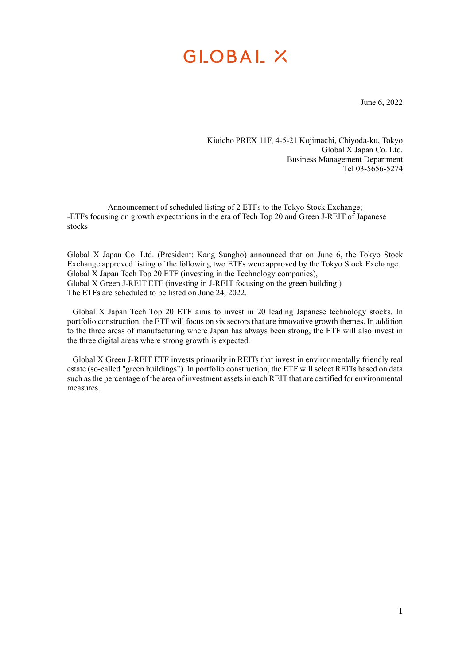June 6, 2022

Kioicho PREX 11F, 4-5-21 Kojimachi, Chiyoda-ku, Tokyo Global X Japan Co. Ltd. Business Management Department Tel 03-5656-5274

Announcement of scheduled listing of 2 ETFs to the Tokyo Stock Exchange; -ETFs focusing on growth expectations in the era of Tech Top 20 and Green J-REIT of Japanese stocks

Global X Japan Co. Ltd. (President: Kang Sungho) announced that on June 6, the Tokyo Stock Exchange approved listing of the following two ETFs were approved by the Tokyo Stock Exchange. Global  $\overline{X}$  Japan Tech Top 20 ETF (investing in the Technology companies), Global X Green J-REIT ETF (investing in J-REIT focusing on the green building) The ETFs are scheduled to be listed on June 24, 2022.

Global X Japan Tech Top 20 ETF aims to invest in 20 leading Japanese technology stocks. In portfolio construction, the ETF will focus on six sectors that are innovative growth themes. In addition to the three areas of manufacturing where Japan has always been strong, the ETF will also invest in the three digital areas where strong growth is expected.

Global X Green J-REIT ETF invests primarily in REITs that invest in environmentally friendly real estate (so-called "green buildings"). In portfolio construction, the ETF will select REITs based on data such as the percentage of the area of investment assets in each REIT that are certified for environmental measures.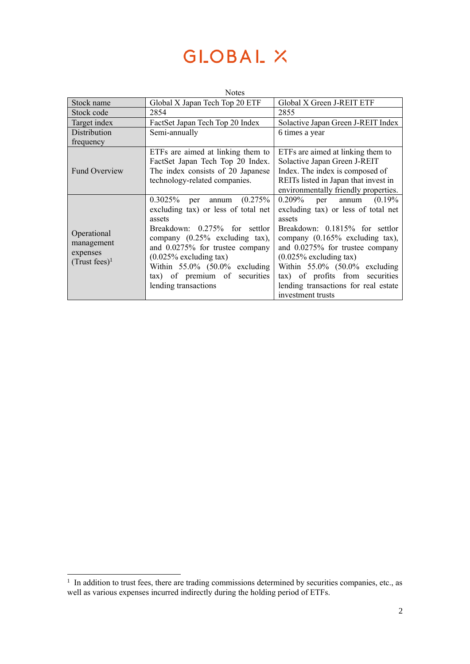| <b>Notes</b>                                                |                                     |                                      |  |
|-------------------------------------------------------------|-------------------------------------|--------------------------------------|--|
| Stock name                                                  | Global X Japan Tech Top 20 ETF      | Global X Green J-REIT ETF            |  |
| Stock code                                                  | 2854                                | 2855                                 |  |
| Target index                                                | FactSet Japan Tech Top 20 Index     | Solactive Japan Green J-REIT Index   |  |
| Distribution                                                | Semi-annually<br>6 times a year     |                                      |  |
| frequency                                                   |                                     |                                      |  |
| <b>Fund Overview</b>                                        | ETFs are aimed at linking them to   | ETFs are aimed at linking them to    |  |
|                                                             | FactSet Japan Tech Top 20 Index.    | Solactive Japan Green J-REIT         |  |
|                                                             | The index consists of 20 Japanese   | Index. The index is composed of      |  |
|                                                             | technology-related companies.       | REITs listed in Japan that invest in |  |
|                                                             |                                     | environmentally friendly properties. |  |
| Operational<br>management<br>expenses<br>$(Trust fees)^{1}$ | $0.3025\%$ per annum $(0.275\%$     | $0.209\%$<br>per annum<br>(0.19%     |  |
|                                                             | excluding tax) or less of total net | excluding tax) or less of total net  |  |
|                                                             | assets                              | assets                               |  |
|                                                             | Breakdown: 0.275% for settlor       | Breakdown: 0.1815% for settlor       |  |
|                                                             | company $(0.25\%$ excluding tax),   | company $(0.165\%$ excluding tax),   |  |
|                                                             | and 0.0275% for trustee company     | and 0.0275% for trustee company      |  |
|                                                             | $(0.025\%$ excluding tax)           | $(0.025\%$ excluding tax)            |  |
|                                                             | Within $55.0\%$ $(50.0\%$ excluding | Within $55.0\%$ $(50.0\%$ excluding  |  |
|                                                             | tax) of premium of securities       | tax) of profits from securities      |  |
|                                                             | lending transactions                | lending transactions for real estate |  |
|                                                             |                                     | investment trusts                    |  |

<sup>&</sup>lt;sup>1</sup> In addition to trust fees, there are trading commissions determined by securities companies, etc., as well as various expenses incurred indirectly during the holding period of ETFs.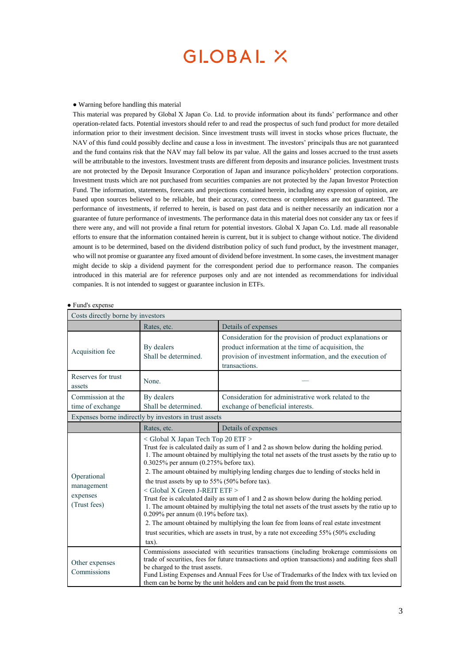#### ● Warning before handling this material

This material was prepared by Global X Japan Co. Ltd. to provide information about its funds' performance and other operation-related facts. Potential investors should refer to and read the prospectus of such fund product for more detailed information prior to their investment decision. Since investment trusts will invest in stocks whose prices fluctuate, the NAV of this fund could possibly decline and cause a loss in investment. The investors' principals thus are not guaranteed and the fund contains risk that the NAV may fall below its par value. All the gains and losses accrued to the trust assets will be attributable to the investors. Investment trusts are different from deposits and insurance policies. Investment trusts are not protected by the Deposit Insurance Corporation of Japan and insurance policyholders' protection corporations. Investment trusts which are not purchased from securities companies are not protected by the Japan Investor Protection Fund. The information, statements, forecasts and projections contained herein, including any expression of opinion, are based upon sources believed to be reliable, but their accuracy, correctness or completeness are not guaranteed. The performance of investments, if referred to herein, is based on past data and is neither necessarily an indication nor a guarantee of future performance of investments. The performance data in this material does not consider any tax or fees if there were any, and will not provide a final return for potential investors. Global X Japan Co. Ltd. made all reasonable efforts to ensure that the information contained herein is current, but it is subject to change without notice. The dividend amount is to be determined, based on the dividend distribution policy of such fund product, by the investment manager, who will not promise or guarantee any fixed amount of dividend before investment. In some cases, the investment manager might decide to skip a dividend payment for the correspondent period due to performance reason. The companies introduced in this material are for reference purposes only and are not intended as recommendations for individual companies. It is not intended to suggest or guarantee inclusion in ETFs.

#### ● Fund's expense

| Costs directly borne by investors                      |                                                                                                                                                                                                                                                                                                                                                                                                                                                                                                                                                                                                                                                                                                                                                                                                                                                                                                                              |                                                                                                                                                                                                 |  |
|--------------------------------------------------------|------------------------------------------------------------------------------------------------------------------------------------------------------------------------------------------------------------------------------------------------------------------------------------------------------------------------------------------------------------------------------------------------------------------------------------------------------------------------------------------------------------------------------------------------------------------------------------------------------------------------------------------------------------------------------------------------------------------------------------------------------------------------------------------------------------------------------------------------------------------------------------------------------------------------------|-------------------------------------------------------------------------------------------------------------------------------------------------------------------------------------------------|--|
|                                                        | Rates, etc.                                                                                                                                                                                                                                                                                                                                                                                                                                                                                                                                                                                                                                                                                                                                                                                                                                                                                                                  | Details of expenses                                                                                                                                                                             |  |
| Acquisition fee                                        | By dealers<br>Shall be determined.                                                                                                                                                                                                                                                                                                                                                                                                                                                                                                                                                                                                                                                                                                                                                                                                                                                                                           | Consideration for the provision of product explanations or<br>product information at the time of acquisition, the<br>provision of investment information, and the execution of<br>transactions. |  |
| Reserves for trust<br>assets                           | None.                                                                                                                                                                                                                                                                                                                                                                                                                                                                                                                                                                                                                                                                                                                                                                                                                                                                                                                        |                                                                                                                                                                                                 |  |
| Commission at the<br>time of exchange                  | By dealers<br>Shall be determined.                                                                                                                                                                                                                                                                                                                                                                                                                                                                                                                                                                                                                                                                                                                                                                                                                                                                                           | Consideration for administrative work related to the<br>exchange of beneficial interests.                                                                                                       |  |
| Expenses borne indirectly by investors in trust assets |                                                                                                                                                                                                                                                                                                                                                                                                                                                                                                                                                                                                                                                                                                                                                                                                                                                                                                                              |                                                                                                                                                                                                 |  |
|                                                        | Rates, etc.                                                                                                                                                                                                                                                                                                                                                                                                                                                                                                                                                                                                                                                                                                                                                                                                                                                                                                                  | Details of expenses                                                                                                                                                                             |  |
| Operational<br>management<br>expenses<br>(Trust fees)  | $\langle$ Global X Japan Tech Top 20 ETF $>$<br>Trust fee is calculated daily as sum of 1 and 2 as shown below during the holding period.<br>1. The amount obtained by multiplying the total net assets of the trust assets by the ratio up to<br>$0.3025\%$ per annum $(0.275\%$ before tax).<br>2. The amount obtained by multiplying lending charges due to lending of stocks held in<br>the trust assets by up to 55% (50% before tax).<br>< Global X Green J-REIT ETF ><br>Trust fee is calculated daily as sum of 1 and 2 as shown below during the holding period.<br>1. The amount obtained by multiplying the total net assets of the trust assets by the ratio up to<br>$0.209\%$ per annum (0.19% before tax).<br>2. The amount obtained by multiplying the loan fee from loans of real estate investment<br>trust securities, which are assets in trust, by a rate not exceeding 55% (50% excluding<br>$\tan$ ). |                                                                                                                                                                                                 |  |
| Other expenses<br>Commissions                          | Commissions associated with securities transactions (including brokerage commissions on<br>trade of securities, fees for future transactions and option transactions) and auditing fees shall<br>be charged to the trust assets.<br>Fund Listing Expenses and Annual Fees for Use of Trademarks of the Index with tax levied on<br>them can be borne by the unit holders and can be paid from the trust assets.                                                                                                                                                                                                                                                                                                                                                                                                                                                                                                              |                                                                                                                                                                                                 |  |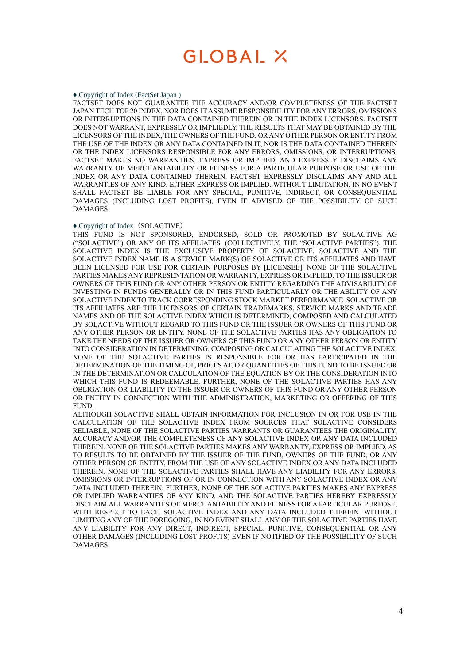#### ● Copyright of Index (FactSet Japan )

FACTSET DOES NOT GUARANTEE THE ACCURACY AND/OR COMPLETENESS OF THE FACTSET JAPAN TECH TOP 20 INDEX, NOR DOES IT ASSUME RESPONSIBILITY FOR ANY ERRORS, OMISSIONS OR INTERRUPTIONS IN THE DATA CONTAINED THEREIN OR IN THE INDEX LICENSORS. FACTSET DOES NOT WARRANT, EXPRESSLY OR IMPLIEDLY, THE RESULTS THAT MAY BE OBTAINED BY THE LICENSORS OF THE INDEX, THE OWNERS OF THE FUND, OR ANY OTHER PERSON OR ENTITY FROM THE USE OF THE INDEX OR ANY DATA CONTAINED IN IT, NOR IS THE DATA CONTAINED THEREIN OR THE INDEX LICENSORS RESPONSIBLE FOR ANY ERRORS, OMISSIONS, OR INTERRUPTIONS. FACTSET MAKES NO WARRANTIES, EXPRESS OR IMPLIED, AND EXPRESSLY DISCLAIMS ANY WARRANTY OF MERCHANTABILITY OR FITNESS FOR A PARTICULAR PURPOSE OR USE OF THE INDEX OR ANY DATA CONTAINED THEREIN. FACTSET EXPRESSLY DISCLAIMS ANY AND ALL WARRANTIES OF ANY KIND, EITHER EXPRESS OR IMPLIED. WITHOUT LIMITATION, IN NO EVENT SHALL FACTSET BE LIABLE FOR ANY SPECIAL, PUNITIVE, INDIRECT, OR CONSEQUENTIAL DAMAGES (INCLUDING LOST PROFITS), EVEN IF ADVISED OF THE POSSIBILITY OF SUCH DAMAGES.

#### • Copyright of Index (SOLACTIVE)

THIS FUND IS NOT SPONSORED, ENDORSED, SOLD OR PROMOTED BY SOLACTIVE AG ("SOLACTIVE") OR ANY OF ITS AFFILIATES. (COLLECTIVELY, THE "SOLACTIVE PARTIES"). THE SOLACTIVE INDEX IS THE EXCLUSIVE PROPERTY OF SOLACTIVE. SOLACTIVE AND THE SOLACTIVE INDEX NAME IS A SERVICE MARK(S) OF SOLACTIVE OR ITS AFFILIATES AND HAVE BEEN LICENSED FOR USE FOR CERTAIN PURPOSES BY [LICENSEE]. NONE OF THE SOLACTIVE PARTIES MAKES ANY REPRESENTATION OR WARRANTY, EXPRESS OR IMPLIED, TO THE ISSUER OR OWNERS OF THIS FUND OR ANY OTHER PERSON OR ENTITY REGARDING THE ADVISABILITY OF INVESTING IN FUNDS GENERALLY OR IN THIS FUND PARTICULARLY OR THE ABILITY OF ANY SOLACTIVE INDEX TO TRACK CORRESPONDING STOCK MARKET PERFORMANCE. SOLACTIVE OR ITS AFFILIATES ARE THE LICENSORS OF CERTAIN TRADEMARKS, SERVICE MARKS AND TRADE NAMES AND OF THE SOLACTIVE INDEX WHICH IS DETERMINED, COMPOSED AND CALCULATED BY SOLACTIVE WITHOUT REGARD TO THIS FUND OR THE ISSUER OR OWNERS OF THIS FUND OR ANY OTHER PERSON OR ENTITY. NONE OF THE SOLACTIVE PARTIES HAS ANY OBLIGATION TO TAKE THE NEEDS OF THE ISSUER OR OWNERS OF THIS FUND OR ANY OTHER PERSON OR ENTITY INTO CONSIDERATION IN DETERMINING, COMPOSING OR CALCULATING THE SOLACTIVE INDEX. NONE OF THE SOLACTIVE PARTIES IS RESPONSIBLE FOR OR HAS PARTICIPATED IN THE DETERMINATION OF THE TIMING OF, PRICES AT, OR QUANTITIES OF THIS FUND TO BE ISSUED OR IN THE DETERMINATION OR CALCULATION OF THE EQUATION BY OR THE CONSIDERATION INTO WHICH THIS FUND IS REDEEMABLE. FURTHER, NONE OF THE SOLACTIVE PARTIES HAS ANY OBLIGATION OR LIABILITY TO THE ISSUER OR OWNERS OF THIS FUND OR ANY OTHER PERSON OR ENTITY IN CONNECTION WITH THE ADMINISTRATION, MARKETING OR OFFERING OF THIS FUND.

ALTHOUGH SOLACTIVE SHALL OBTAIN INFORMATION FOR INCLUSION IN OR FOR USE IN THE CALCULATION OF THE SOLACTIVE INDEX FROM SOURCES THAT SOLACTIVE CONSIDERS RELIABLE, NONE OF THE SOLACTIVE PARTIES WARRANTS OR GUARANTEES THE ORIGINALITY, ACCURACY AND/OR THE COMPLETENESS OF ANY SOLACTIVE INDEX OR ANY DATA INCLUDED THEREIN. NONE OF THE SOLACTIVE PARTIES MAKES ANY WARRANTY, EXPRESS OR IMPLIED, AS TO RESULTS TO BE OBTAINED BY THE ISSUER OF THE FUND, OWNERS OF THE FUND, OR ANY OTHER PERSON OR ENTITY, FROM THE USE OF ANY SOLACTIVE INDEX OR ANY DATA INCLUDED THEREIN. NONE OF THE SOLACTIVE PARTIES SHALL HAVE ANY LIABILITY FOR ANY ERRORS, OMISSIONS OR INTERRUPTIONS OF OR IN CONNECTION WITH ANY SOLACTIVE INDEX OR ANY DATA INCLUDED THEREIN. FURTHER, NONE OF THE SOLACTIVE PARTIES MAKES ANY EXPRESS OR IMPLIED WARRANTIES OF ANY KIND, AND THE SOLACTIVE PARTIES HEREBY EXPRESSLY DISCLAIM ALL WARRANTIES OF MERCHANTABILITY AND FITNESS FOR A PARTICULAR PURPOSE, WITH RESPECT TO EACH SOLACTIVE INDEX AND ANY DATA INCLUDED THEREIN. WITHOUT LIMITING ANY OF THE FOREGOING, IN NO EVENT SHALL ANY OF THE SOLACTIVE PARTIES HAVE ANY LIABILITY FOR ANY DIRECT, INDIRECT, SPECIAL, PUNITIVE, CONSEQUENTIAL OR ANY OTHER DAMAGES (INCLUDING LOST PROFITS) EVEN IF NOTIFIED OF THE POSSIBILITY OF SUCH DAMAGES.